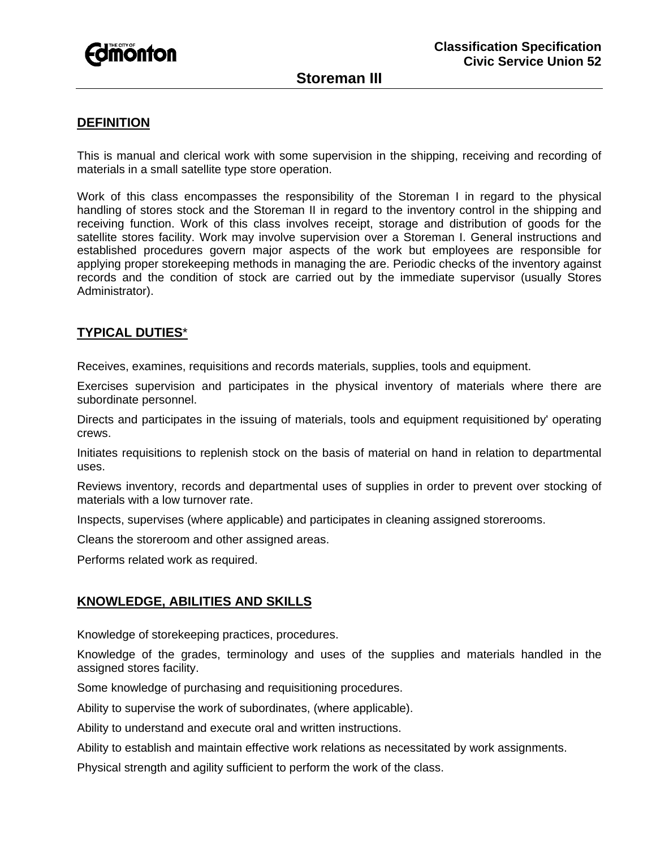

# **Storeman III**

### **DEFINITION**

This is manual and clerical work with some supervision in the shipping, receiving and recording of materials in a small satellite type store operation.

Work of this class encompasses the responsibility of the Storeman I in regard to the physical handling of stores stock and the Storeman II in regard to the inventory control in the shipping and receiving function. Work of this class involves receipt, storage and distribution of goods for the satellite stores facility. Work may involve supervision over a Storeman I. General instructions and established procedures govern major aspects of the work but employees are responsible for applying proper storekeeping methods in managing the are. Periodic checks of the inventory against records and the condition of stock are carried out by the immediate supervisor (usually Stores Administrator).

#### **TYPICAL DUTIES**\*

Receives, examines, requisitions and records materials, supplies, tools and equipment.

Exercises supervision and participates in the physical inventory of materials where there are subordinate personnel.

Directs and participates in the issuing of materials, tools and equipment requisitioned by' operating crews.

Initiates requisitions to replenish stock on the basis of material on hand in relation to departmental uses.

Reviews inventory, records and departmental uses of supplies in order to prevent over stocking of materials with a low turnover rate.

Inspects, supervises (where applicable) and participates in cleaning assigned storerooms.

Cleans the storeroom and other assigned areas.

Performs related work as required.

#### **KNOWLEDGE, ABILITIES AND SKILLS**

Knowledge of storekeeping practices, procedures.

Knowledge of the grades, terminology and uses of the supplies and materials handled in the assigned stores facility.

Some knowledge of purchasing and requisitioning procedures.

Ability to supervise the work of subordinates, (where applicable).

Ability to understand and execute oral and written instructions.

Ability to establish and maintain effective work relations as necessitated by work assignments.

Physical strength and agility sufficient to perform the work of the class.